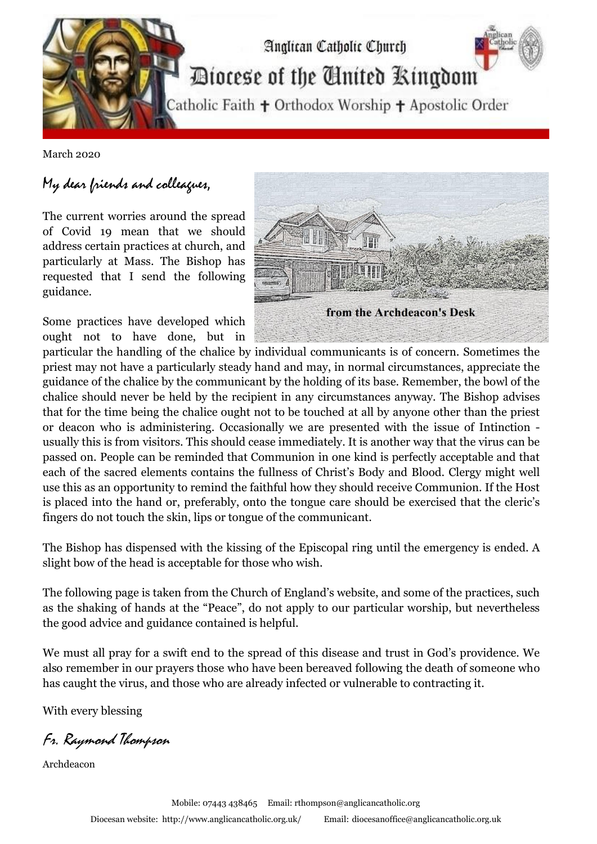

March 2020

## My dear friends and colleagues,

The current worries around the spread of Covid 19 mean that we should address certain practices at church, and particularly at Mass. The Bishop has requested that I send the following guidance.

Some practices have developed which ought not to have done, but in



particular the handling of the chalice by individual communicants is of concern. Sometimes the priest may not have a particularly steady hand and may, in normal circumstances, appreciate the guidance of the chalice by the communicant by the holding of its base. Remember, the bowl of the chalice should never be held by the recipient in any circumstances anyway. The Bishop advises that for the time being the chalice ought not to be touched at all by anyone other than the priest or deacon who is administering. Occasionally we are presented with the issue of Intinction usually this is from visitors. This should cease immediately. It is another way that the virus can be passed on. People can be reminded that Communion in one kind is perfectly acceptable and that each of the sacred elements contains the fullness of Christ's Body and Blood. Clergy might well use this as an opportunity to remind the faithful how they should receive Communion. If the Host is placed into the hand or, preferably, onto the tongue care should be exercised that the cleric's fingers do not touch the skin, lips or tongue of the communicant.

The Bishop has dispensed with the kissing of the Episcopal ring until the emergency is ended. A slight bow of the head is acceptable for those who wish.

The following page is taken from the Church of England's website, and some of the practices, such as the shaking of hands at the "Peace", do not apply to our particular worship, but nevertheless the good advice and guidance contained is helpful.

We must all pray for a swift end to the spread of this disease and trust in God's providence. We also remember in our prayers those who have been bereaved following the death of someone who has caught the virus, and those who are already infected or vulnerable to contracting it.

With every blessing

Fr. Raymond Thompson

Archdeacon